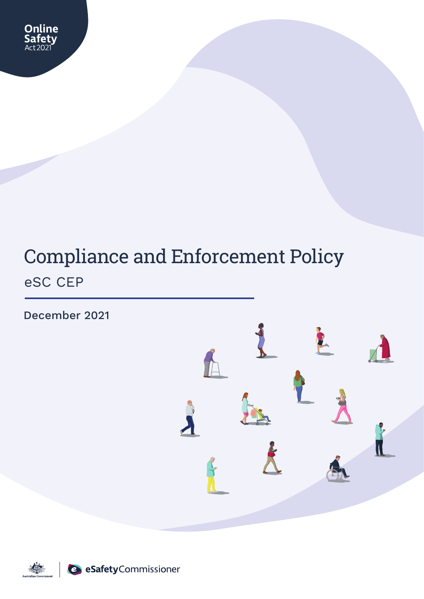

# Compliance and Enforcement Policy eSC CEP

December 2021



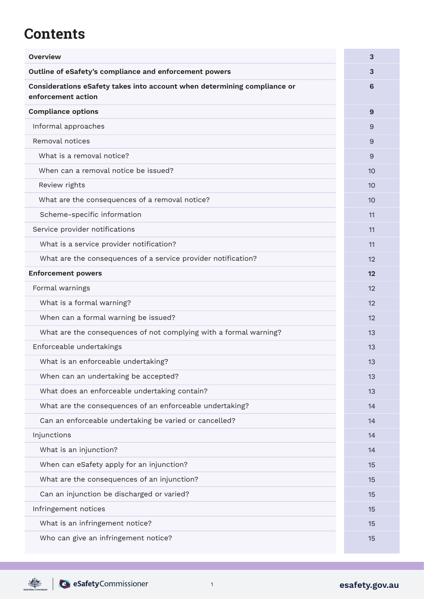## **Contents**

| <b>Overview</b>                                                                                | 3  |
|------------------------------------------------------------------------------------------------|----|
| Outline of eSafety's compliance and enforcement powers                                         | 3  |
| Considerations eSafety takes into account when determining compliance or<br>enforcement action | 6  |
| <b>Compliance options</b>                                                                      | 9  |
| Informal approaches                                                                            | 9  |
| Removal notices                                                                                | 9  |
| What is a removal notice?                                                                      | 9  |
| When can a removal notice be issued?                                                           | 10 |
| Review rights                                                                                  | 10 |
| What are the consequences of a removal notice?                                                 | 10 |
| Scheme-specific information                                                                    | 11 |
| Service provider notifications                                                                 | 11 |
| What is a service provider notification?                                                       | 11 |
| What are the consequences of a service provider notification?                                  | 12 |
| <b>Enforcement powers</b>                                                                      | 12 |
| Formal warnings                                                                                | 12 |
| What is a formal warning?                                                                      | 12 |
| When can a formal warning be issued?                                                           | 12 |
| What are the consequences of not complying with a formal warning?                              | 13 |
| Enforceable undertakings                                                                       | 13 |
| What is an enforceable undertaking?                                                            | 13 |
| When can an undertaking be accepted?                                                           | 13 |
| What does an enforceable undertaking contain?                                                  | 13 |
| What are the consequences of an enforceable undertaking?                                       | 14 |
| Can an enforceable undertaking be varied or cancelled?                                         | 14 |
| Injunctions                                                                                    | 14 |
| What is an injunction?                                                                         | 14 |
| When can eSafety apply for an injunction?                                                      | 15 |
| What are the consequences of an injunction?                                                    | 15 |
| Can an injunction be discharged or varied?                                                     | 15 |
| Infringement notices                                                                           | 15 |
| What is an infringement notice?                                                                | 15 |
| Who can give an infringement notice?                                                           | 15 |

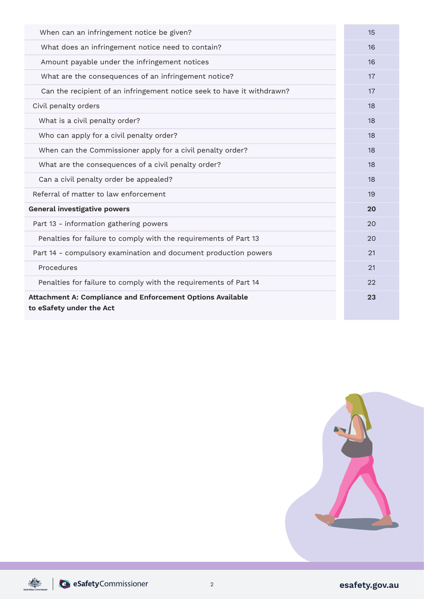| When can an infringement notice be given?                                              | 15 |
|----------------------------------------------------------------------------------------|----|
| What does an infringement notice need to contain?                                      | 16 |
| Amount payable under the infringement notices                                          | 16 |
| What are the consequences of an infringement notice?                                   | 17 |
| Can the recipient of an infringement notice seek to have it withdrawn?                 | 17 |
| Civil penalty orders                                                                   | 18 |
| What is a civil penalty order?                                                         | 18 |
| Who can apply for a civil penalty order?                                               | 18 |
| When can the Commissioner apply for a civil penalty order?                             | 18 |
| What are the consequences of a civil penalty order?                                    | 18 |
| Can a civil penalty order be appealed?                                                 | 18 |
| Referral of matter to law enforcement                                                  | 19 |
| General investigative powers                                                           | 20 |
| Part 13 - information gathering powers                                                 | 20 |
| Penalties for failure to comply with the requirements of Part 13                       | 20 |
| Part 14 - compulsory examination and document production powers                        | 21 |
| Procedures                                                                             | 21 |
| Penalties for failure to comply with the requirements of Part 14                       | 22 |
| Attachment A: Compliance and Enforcement Options Available<br>to eSafety under the Act | 23 |

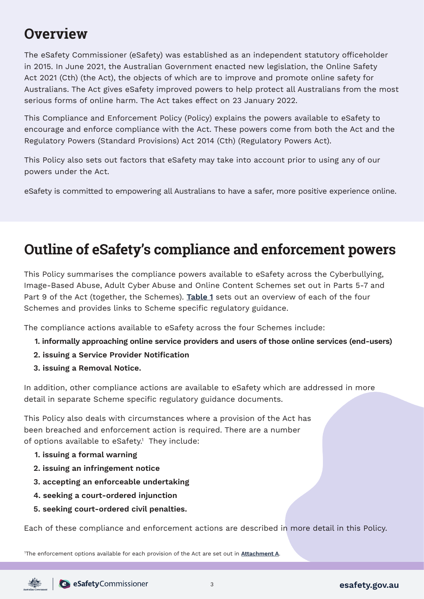## **Overview**

The eSafety Commissioner (eSafety) was established as an independent statutory officeholder in 2015. In June 2021, the Australian Government enacted new legislation, the Online Safety Act 2021 (Cth) (the Act), the objects of which are to improve and promote online safety for Australians. The Act gives eSafety improved powers to help protect all Australians from the most serious forms of online harm. The Act takes effect on 23 January 2022.

This Compliance and Enforcement Policy (Policy) explains the powers available to eSafety to encourage and enforce compliance with the Act. These powers come from both the Act and the Regulatory Powers (Standard Provisions) Act 2014 (Cth) (Regulatory Powers Act).

This Policy also sets out factors that eSafety may take into account prior to using any of our powers under the Act.

eSafety is committed to empowering all Australians to have a safer, more positive experience online.

## **Outline of eSafety's compliance and enforcement powers**

This Policy summarises the compliance powers available to eSafety across the Cyberbullying, Image-Based Abuse, Adult Cyber Abuse and Online Content Schemes set out in Parts 5-7 and Part 9 of the Act (together, the Schemes). **[Table 1](#page-4-0)** sets out an overview of each of the four Schemes and provides links to Scheme specific regulatory guidance.

The compliance actions available to eSafety across the four Schemes include:

- **1. informally approaching online service providers and users of those online services (end-users)**
- **2. issuing a Service Provider Notification**
- **3. issuing a Removal Notice.**

In addition, other compliance actions are available to eSafety which are addressed in more detail in separate Scheme specific regulatory guidance documents.

This Policy also deals with circumstances where a provision of the Act has been breached and enforcement action is required. There are a number of options available to eSafety.<sup>1</sup> They include:

- **1. issuing a formal warning**
- **2. issuing an infringement notice**
- **3. accepting an enforceable undertaking**
- **4. seeking a court-ordered injunction**
- **5. seeking court-ordered civil penalties.**

Each of these compliance and enforcement actions are described in more detail in this Policy.

1 The enforcement options available for each provision of the Act are set out in **[Attachment A](#page-23-0)**.

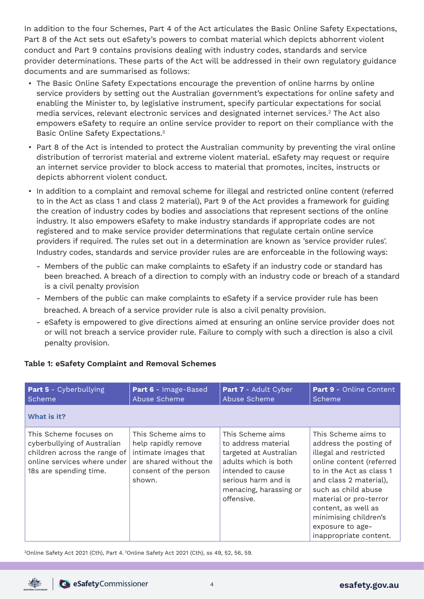<span id="page-4-0"></span>In addition to the four Schemes, Part 4 of the Act articulates the Basic Online Safety Expectations, Part 8 of the Act sets out eSafety's powers to combat material which depicts abhorrent violent conduct and Part 9 contains provisions dealing with industry codes, standards and service provider determinations. These parts of the Act will be addressed in their own regulatory guidance documents and are summarised as follows:

- The Basic Online Safety Expectations encourage the prevention of online harms by online service providers by setting out the Australian government's expectations for online safety and enabling the Minister to, by legislative instrument, specify particular expectations for social media services, relevant electronic services and designated internet services.<sup>2</sup> The Act also empowers eSafety to require an online service provider to report on their compliance with the Basic Online Safety Expectations. 3
- Part 8 of the Act is intended to protect the Australian community by preventing the viral online distribution of terrorist material and extreme violent material. eSafety may request or require an internet service provider to block access to material that promotes, incites, instructs or depicts abhorrent violent conduct.
- In addition to a complaint and removal scheme for illegal and restricted online content (referred to in the Act as class 1 and class 2 material), Part 9 of the Act provides a framework for guiding the creation of industry codes by bodies and associations that represent sections of the online industry. It also empowers eSafety to make industry standards if appropriate codes are not registered and to make service provider determinations that regulate certain online service providers if required. The rules set out in a determination are known as 'service provider rules'. Industry codes, standards and service provider rules are are enforceable in the following ways:
	- Members of the public can make complaints to eSafety if an industry code or standard has been breached. A breach of a direction to comply with an industry code or breach of a standard is a civil penalty provision
	- Members of the public can make complaints to eSafety if a service provider rule has been breached. A breach of a service provider rule is also a civil penalty provision.
	- eSafety is empowered to give directions aimed at ensuring an online service provider does not or will not breach a service provider rule. Failure to comply with such a direction is also a civil penalty provision.

| <b>Part 5</b> - Cyberbullying<br>Scheme                                                                                                        | Part 6 - Image-Based<br>Abuse Scheme                                                                                            | Part 7 - Adult Cyber<br>Abuse Scheme                                                                                                                                          | Part 9 - Online Content<br>Scheme                                                                                                                                                                                                                                                                        |
|------------------------------------------------------------------------------------------------------------------------------------------------|---------------------------------------------------------------------------------------------------------------------------------|-------------------------------------------------------------------------------------------------------------------------------------------------------------------------------|----------------------------------------------------------------------------------------------------------------------------------------------------------------------------------------------------------------------------------------------------------------------------------------------------------|
| What is it?                                                                                                                                    |                                                                                                                                 |                                                                                                                                                                               |                                                                                                                                                                                                                                                                                                          |
| This Scheme focuses on<br>cyberbullying of Australian<br>children across the range of<br>online services where under<br>18s are spending time. | This Scheme aims to<br>help rapidly remove<br>intimate images that<br>are shared without the<br>consent of the person<br>shown. | This Scheme aims<br>to address material<br>targeted at Australian<br>adults which is both<br>intended to cause<br>serious harm and is<br>menacing, harassing or<br>offensive. | This Scheme aims to<br>address the posting of<br>illegal and restricted<br>online content (referred<br>to in the Act as class 1<br>and class 2 material),<br>such as child abuse<br>material or pro-terror<br>content, as well as<br>minimising children's<br>exposure to age-<br>inappropriate content. |

#### **Table 1: eSafety Complaint and Removal Schemes**

<sup>2</sup>Online Safety Act 2021 (Cth), Part 4. <sup>3</sup>Online Safety Act 2021 (Cth), ss 49, 52, 56, 59.

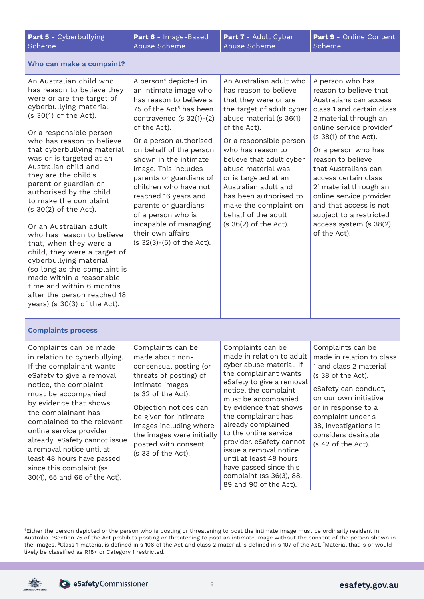| <b>Part 5</b> - Cyberbullying<br>Scheme                                                                                                                                                                                                                                                                                                                                                                                                                                                                                                                                                                                                                                                                              | <b>Part 6</b> - Image-Based<br>Abuse Scheme                                                                                                                                                                                                                                                                                                                                                                                                                                             | <b>Part 7</b> - Adult Cyber<br>Abuse Scheme                                                                                                                                                                                                                                                                                                                                                                                                       | <b>Part 9 -</b> Online Content<br>Scheme                                                                                                                                                                                                                                                                                                                                                                                                    |
|----------------------------------------------------------------------------------------------------------------------------------------------------------------------------------------------------------------------------------------------------------------------------------------------------------------------------------------------------------------------------------------------------------------------------------------------------------------------------------------------------------------------------------------------------------------------------------------------------------------------------------------------------------------------------------------------------------------------|-----------------------------------------------------------------------------------------------------------------------------------------------------------------------------------------------------------------------------------------------------------------------------------------------------------------------------------------------------------------------------------------------------------------------------------------------------------------------------------------|---------------------------------------------------------------------------------------------------------------------------------------------------------------------------------------------------------------------------------------------------------------------------------------------------------------------------------------------------------------------------------------------------------------------------------------------------|---------------------------------------------------------------------------------------------------------------------------------------------------------------------------------------------------------------------------------------------------------------------------------------------------------------------------------------------------------------------------------------------------------------------------------------------|
| Who can make a compaint?                                                                                                                                                                                                                                                                                                                                                                                                                                                                                                                                                                                                                                                                                             |                                                                                                                                                                                                                                                                                                                                                                                                                                                                                         |                                                                                                                                                                                                                                                                                                                                                                                                                                                   |                                                                                                                                                                                                                                                                                                                                                                                                                                             |
| An Australian child who<br>has reason to believe they<br>were or are the target of<br>cyberbullying material<br>(s 30(1) of the Act).<br>Or a responsible person<br>who has reason to believe<br>that cyberbullying material<br>was or is targeted at an<br>Australian child and<br>they are the child's<br>parent or guardian or<br>authorised by the child<br>to make the complaint<br>$(s 30(2)$ of the Act).<br>Or an Australian adult<br>who has reason to believe<br>that, when they were a<br>child, they were a target of<br>cyberbullying material<br>(so long as the complaint is<br>made within a reasonable<br>time and within 6 months<br>after the person reached 18<br>years) (s $30(3)$ of the Act). | A person <sup>4</sup> depicted in<br>an intimate image who<br>has reason to believe s<br>75 of the Act <sup>5</sup> has been<br>contravened (s $32(1)-(2)$<br>of the Act).<br>Or a person authorised<br>on behalf of the person<br>shown in the intimate<br>image. This includes<br>parents or guardians of<br>children who have not<br>reached 16 years and<br>parents or guardians<br>of a person who is<br>incapable of managing<br>their own affairs<br>$(s 32(3)-(5)$ of the Act). | An Australian adult who<br>has reason to believe<br>that they were or are<br>the target of adult cyber<br>abuse material (s 36(1)<br>of the Act).<br>Or a responsible person<br>who has reason to<br>believe that adult cyber<br>abuse material was<br>or is targeted at an<br>Australian adult and<br>has been authorised to<br>make the complaint on<br>behalf of the adult<br>$(s 36(2)$ of the Act).                                          | A person who has<br>reason to believe that<br>Australians can access<br>class 1 and certain class<br>2 material through an<br>online service provider <sup>6</sup><br>(s 38(1) of the Act).<br>Or a person who has<br>reason to believe<br>that Australians can<br>access certain class<br>27 material through an<br>online service provider<br>and that access is not<br>subject to a restricted<br>access system (s 38(2)<br>of the Act). |
| <b>Complaints process</b>                                                                                                                                                                                                                                                                                                                                                                                                                                                                                                                                                                                                                                                                                            |                                                                                                                                                                                                                                                                                                                                                                                                                                                                                         |                                                                                                                                                                                                                                                                                                                                                                                                                                                   |                                                                                                                                                                                                                                                                                                                                                                                                                                             |
| Complaints can be made<br>in relation to cyberbullying.<br>If the complainant wants<br>eSafety to give a removal<br>notice, the complaint<br>must be accompanied<br>by evidence that shows<br>the complainant has<br>complained to the relevant<br>online service provider<br>already. eSafety cannot issue<br>a removal notice until at<br>least 48 hours have passed<br>since this complaint (ss<br>30(4), 65 and 66 of the Act).                                                                                                                                                                                                                                                                                  | Complaints can be<br>made about non-<br>consensual posting (or<br>threats of posting) of<br>intimate images<br>(s 32 of the Act).<br>Objection notices can<br>be given for intimate<br>images including where<br>the images were initially<br>posted with consent<br>(s 33 of the Act).                                                                                                                                                                                                 | Complaints can be<br>made in relation to adult<br>cyber abuse material. If<br>the complainant wants<br>eSafety to give a removal<br>notice, the complaint<br>must be accompanied<br>by evidence that shows<br>the complainant has<br>already complained<br>to the online service<br>provider. eSafety cannot<br>issue a removal notice<br>until at least 48 hours<br>have passed since this<br>complaint (ss 36(3), 88,<br>89 and 90 of the Act). | Complaints can be<br>made in relation to class<br>1 and class 2 material<br>(s 38 of the Act).<br>eSafety can conduct,<br>on our own initiative<br>or in response to a<br>complaint under s<br>38, investigations it<br>considers desirable<br>(s 42 of the Act).                                                                                                                                                                           |

4Either the person depicted or the person who is posting or threatening to post the intimate image must be ordinarily resident in Australia. 5Section 75 of the Act prohibits posting or threatening to post an intimate image without the consent of the person shown in the images. 6Class 1 material is defined in s 106 of the Act and class 2 material is defined in s 107 of the Act. <sup>7</sup> Material that is or would likely be classified as R18+ or Category 1 restricted.

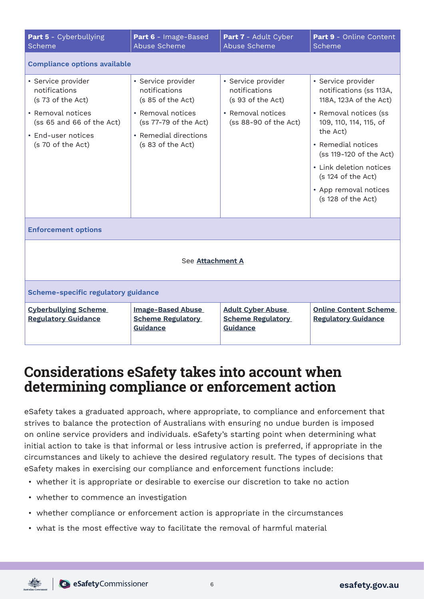<span id="page-6-0"></span>

| Part 5 - Cyberbullying<br>Scheme                                                                                                                      | Part 6 - Image-Based<br>Abuse Scheme                                                                                                                 | Part 7 - Adult Cyber<br>Abuse Scheme                                                                   | Part 9 - Online Content<br>Scheme                                                                                                                                                                                                                                                       |  |  |
|-------------------------------------------------------------------------------------------------------------------------------------------------------|------------------------------------------------------------------------------------------------------------------------------------------------------|--------------------------------------------------------------------------------------------------------|-----------------------------------------------------------------------------------------------------------------------------------------------------------------------------------------------------------------------------------------------------------------------------------------|--|--|
| <b>Compliance options available</b>                                                                                                                   |                                                                                                                                                      |                                                                                                        |                                                                                                                                                                                                                                                                                         |  |  |
| • Service provider<br>notifications<br>(s 73 of the Act)<br>• Removal notices<br>(ss 65 and 66 of the Act)<br>• End-user notices<br>(s 70 of the Act) | • Service provider<br>notifications<br>(s 85 of the Act)<br>• Removal notices<br>(ss 77-79 of the Act)<br>• Remedial directions<br>(s 83 of the Act) | · Service provider<br>notifications<br>(s 93 of the Act)<br>• Removal notices<br>(ss 88-90 of the Act) | · Service provider<br>notifications (ss 113A,<br>118A, 123A of the Act)<br>• Removal notices (ss<br>109, 110, 114, 115, of<br>the Act)<br>• Remedial notices<br>(ss 119-120 of the Act)<br>• Link deletion notices<br>(s 124 of the Act)<br>• App removal notices<br>(s 128 of the Act) |  |  |
| <b>Enforcement options</b>                                                                                                                            |                                                                                                                                                      |                                                                                                        |                                                                                                                                                                                                                                                                                         |  |  |
| See Attachment A                                                                                                                                      |                                                                                                                                                      |                                                                                                        |                                                                                                                                                                                                                                                                                         |  |  |
| Scheme-specific regulatory guidance                                                                                                                   |                                                                                                                                                      |                                                                                                        |                                                                                                                                                                                                                                                                                         |  |  |
| <b>Cyberbullying Scheme</b><br><b>Regulatory Guidance</b>                                                                                             | <b>Image-Based Abuse</b><br><b>Scheme Regulatory</b><br><b>Guidance</b>                                                                              | <b>Adult Cyber Abuse</b><br><b>Scheme Regulatory</b><br><b>Guidance</b>                                | <b>Online Content Scheme</b><br><b>Regulatory Guidance</b>                                                                                                                                                                                                                              |  |  |

## **Considerations eSafety takes into account when determining compliance or enforcement action**

eSafety takes a graduated approach, where appropriate, to compliance and enforcement that strives to balance the protection of Australians with ensuring no undue burden is imposed on online service providers and individuals. eSafety's starting point when determining what initial action to take is that informal or less intrusive action is preferred, if appropriate in the circumstances and likely to achieve the desired regulatory result. The types of decisions that eSafety makes in exercising our compliance and enforcement functions include:

- whether it is appropriate or desirable to exercise our discretion to take no action
- whether to commence an investigation
- whether compliance or enforcement action is appropriate in the circumstances
- what is the most effective way to facilitate the removal of harmful material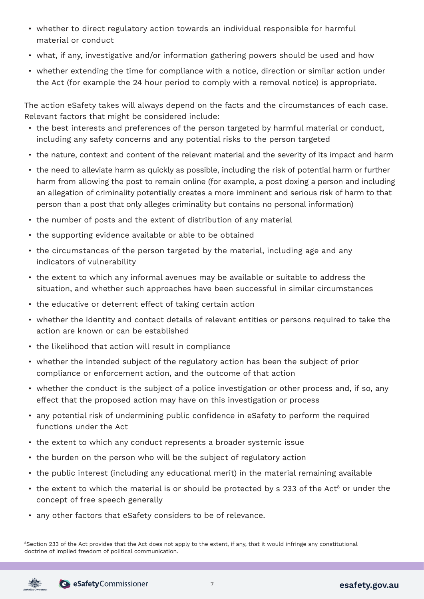- whether to direct regulatory action towards an individual responsible for harmful material or conduct
- what, if any, investigative and/or information gathering powers should be used and how
- whether extending the time for compliance with a notice, direction or similar action under the Act (for example the 24 hour period to comply with a removal notice) is appropriate.

The action eSafety takes will always depend on the facts and the circumstances of each case. Relevant factors that might be considered include:

- the best interests and preferences of the person targeted by harmful material or conduct, including any safety concerns and any potential risks to the person targeted
- the nature, context and content of the relevant material and the severity of its impact and harm
- the need to alleviate harm as quickly as possible, including the risk of potential harm or further harm from allowing the post to remain online (for example, a post doxing a person and including an allegation of criminality potentially creates a more imminent and serious risk of harm to that person than a post that only alleges criminality but contains no personal information)
- the number of posts and the extent of distribution of any material
- the supporting evidence available or able to be obtained
- the circumstances of the person targeted by the material, including age and any indicators of vulnerability
- the extent to which any informal avenues may be available or suitable to address the situation, and whether such approaches have been successful in similar circumstances
- the educative or deterrent effect of taking certain action
- whether the identity and contact details of relevant entities or persons required to take the action are known or can be established
- the likelihood that action will result in compliance
- whether the intended subject of the regulatory action has been the subject of prior compliance or enforcement action, and the outcome of that action
- whether the conduct is the subject of a police investigation or other process and, if so, any effect that the proposed action may have on this investigation or process
- any potential risk of undermining public confidence in eSafety to perform the required functions under the Act
- the extent to which any conduct represents a broader systemic issue
- the burden on the person who will be the subject of regulatory action
- the public interest (including any educational merit) in the material remaining available
- the extent to which the material is or should be protected by s 233 of the Act<sup>8</sup> or under the concept of free speech generally
- any other factors that eSafety considers to be of relevance.

<sup>8</sup>Section 233 of the Act provides that the Act does not apply to the extent, if any, that it would infringe any constitutional doctrine of implied freedom of political communication.

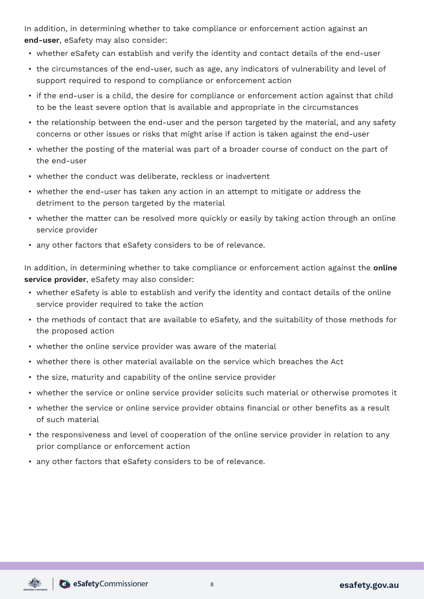In addition, in determining whether to take compliance or enforcement action against an **end-user**, eSafety may also consider:

- whether eSafety can establish and verify the identity and contact details of the end-user
- the circumstances of the end-user, such as age, any indicators of vulnerability and level of support required to respond to compliance or enforcement action
- if the end-user is a child, the desire for compliance or enforcement action against that child to be the least severe option that is available and appropriate in the circumstances
- the relationship between the end-user and the person targeted by the material, and any safety concerns or other issues or risks that might arise if action is taken against the end-user
- whether the posting of the material was part of a broader course of conduct on the part of the end-user
- whether the conduct was deliberate, reckless or inadvertent
- whether the end-user has taken any action in an attempt to mitigate or address the detriment to the person targeted by the material
- whether the matter can be resolved more quickly or easily by taking action through an online service provider
- any other factors that eSafety considers to be of relevance.

In addition, in determining whether to take compliance or enforcement action against the **online service provider**, eSafety may also consider:

- whether eSafety is able to establish and verify the identity and contact details of the online service provider required to take the action
- the methods of contact that are available to eSafety, and the suitability of those methods for the proposed action
- whether the online service provider was aware of the material
- whether there is other material available on the service which breaches the Act
- the size, maturity and capability of the online service provider
- whether the service or online service provider solicits such material or otherwise promotes it
- whether the service or online service provider obtains financial or other benefits as a result of such material
- the responsiveness and level of cooperation of the online service provider in relation to any prior compliance or enforcement action
- any other factors that eSafety considers to be of relevance.

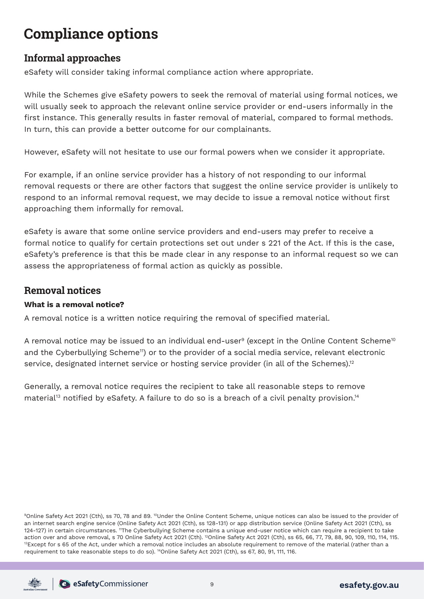## **Compliance options**

## **Informal approaches**

eSafety will consider taking informal compliance action where appropriate.

While the Schemes give eSafety powers to seek the removal of material using formal notices, we will usually seek to approach the relevant online service provider or end-users informally in the first instance. This generally results in faster removal of material, compared to formal methods. In turn, this can provide a better outcome for our complainants.

However, eSafety will not hesitate to use our formal powers when we consider it appropriate.

For example, if an online service provider has a history of not responding to our informal removal requests or there are other factors that suggest the online service provider is unlikely to respond to an informal removal request, we may decide to issue a removal notice without first approaching them informally for removal.

eSafety is aware that some online service providers and end-users may prefer to receive a formal notice to qualify for certain protections set out under s 221 of the Act. If this is the case, eSafety's preference is that this be made clear in any response to an informal request so we can assess the appropriateness of formal action as quickly as possible.

## **Removal notices**

#### **What is a removal notice?**

A removal notice is a written notice requiring the removal of specified material.

A removal notice may be issued to an individual end-user<sup>9</sup> (except in the Online Content Scheme<sup>10</sup> and the Cyberbullying Scheme<sup>11</sup>) or to the provider of a social media service, relevant electronic service, designated internet service or hosting service provider (in all of the Schemes).<sup>12</sup>

Generally, a removal notice requires the recipient to take all reasonable steps to remove material<sup>13</sup> notified by eSafety. A failure to do so is a breach of a civil penalty provision.<sup>14</sup>

9Online Safety Act 2021 (Cth), ss 70, 78 and 89. <sup>10</sup>Under the Online Content Scheme, unique notices can also be issued to the provider of an internet search engine service (Online Safety Act 2021 (Cth), ss 128-131) or app distribution service (Online Safety Act 2021 (Cth), ss 124-127) in certain circumstances. 11The Cyberbullying Scheme contains a unique end-user notice which can require a recipient to take action over and above removal, s 70 Online Safety Act 2021 (Cth). <sup>12</sup>Online Safety Act 2021 (Cth), ss 65, 66, 77, 79, 88, 90, 109, 110, 114, 115.<br><sup>13</sup>Except for s 65 of the Act, under which a removal notice includes an ab requirement to take reasonable steps to do so). 14Online Safety Act 2021 (Cth), ss 67, 80, 91, 111, 116.

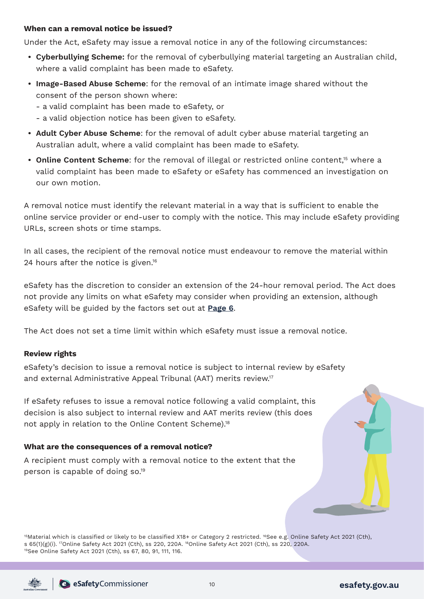#### **When can a removal notice be issued?**

Under the Act, eSafety may issue a removal notice in any of the following circumstances:

- **• Cyberbullying Scheme:** for the removal of cyberbullying material targeting an Australian child, where a valid complaint has been made to eSafety.
- **• Image-Based Abuse Scheme**: for the removal of an intimate image shared without the consent of the person shown where:
	- a valid complaint has been made to eSafety, or
	- a valid objection notice has been given to eSafety.
- **• Adult Cyber Abuse Scheme**: for the removal of adult cyber abuse material targeting an Australian adult, where a valid complaint has been made to eSafety.
- **Online Content Scheme**: for the removal of illegal or restricted online content.<sup>15</sup> where a valid complaint has been made to eSafety or eSafety has commenced an investigation on our own motion.

A removal notice must identify the relevant material in a way that is sufficient to enable the online service provider or end-user to comply with the notice. This may include eSafety providing URLs, screen shots or time stamps.

In all cases, the recipient of the removal notice must endeavour to remove the material within 24 hours after the notice is given.<sup>16</sup>

eSafety has the discretion to consider an extension of the 24-hour removal period. The Act does not provide any limits on what eSafety may consider when providing an extension, although eSafety will be guided by the factors set out at **[Page 6](#page-6-0)**.

The Act does not set a time limit within which eSafety must issue a removal notice.

#### **Review rights**

eSafety's decision to issue a removal notice is subject to internal review by eSafety and external Administrative Appeal Tribunal (AAT) merits review.17

If eSafety refuses to issue a removal notice following a valid complaint, this decision is also subject to internal review and AAT merits review (this does not apply in relation to the Online Content Scheme).<sup>18</sup>

#### **What are the consequences of a removal notice?**

A recipient must comply with a removal notice to the extent that the person is capable of doing so.19

<sup>15</sup>Material which is classified or likely to be classified X18+ or Category 2 restricted. <sup>16</sup>See e.g. Online Safety Act 2021 (Cth), s 65(1)(g)(i). <sup>17</sup>Online Safety Act 2021 (Cth), ss 220, 220A. <sup>18</sup>Online Safety Act 2021 (Cth), ss 220, 220A. <sup>19</sup>See Online Safety Act 2021 (Cth), ss 67, 80, 91, 111, 116.

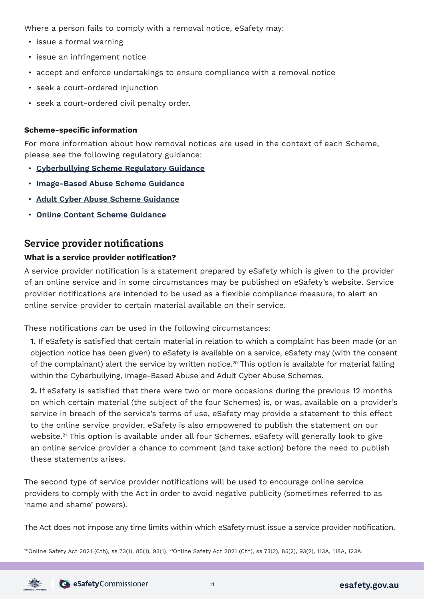Where a person fails to comply with a removal notice, eSafety may:

- issue a formal warning
- issue an infringement notice
- accept and enforce undertakings to ensure compliance with a removal notice
- seek a court-ordered injunction
- seek a court-ordered civil penalty order.

#### **Scheme-specific information**

For more information about how removal notices are used in the context of each Scheme, please see the following regulatory guidance:

- **[Cyberbullying Scheme Regulatory Guidance](https://www.esafety.gov.au/about-us/who-we-are/regulatory-schemes#cyberbullying-scheme)**
- **[Image-Based Abuse Scheme Guidance](https://www.esafety.gov.au/about-us/who-we-are/regulatory-schemes#image-based-abuse-scheme)**
- **[Adult Cyber Abuse Scheme Guidance](https://www.esafety.gov.au/about-us/who-we-are/regulatory-schemes#more-information)**
- **[Online Content Scheme Guidance](https://www.esafety.gov.au/about-us/who-we-are/regulatory-schemes#more-information)**

## **Service provider notifications**

#### **What is a service provider notification?**

A service provider notification is a statement prepared by eSafety which is given to the provider of an online service and in some circumstances may be published on eSafety's website. Service provider notifications are intended to be used as a flexible compliance measure, to alert an online service provider to certain material available on their service.

These notifications can be used in the following circumstances:

**1.** If eSafety is satisfied that certain material in relation to which a complaint has been made (or an objection notice has been given) to eSafety is available on a service, eSafety may (with the consent of the complainant) alert the service by written notice.20 This option is available for material falling within the Cyberbullying, Image-Based Abuse and Adult Cyber Abuse Schemes.

**2.** If eSafety is satisfied that there were two or more occasions during the previous 12 months on which certain material (the subject of the four Schemes) is, or was, available on a provider's service in breach of the service's terms of use, eSafety may provide a statement to this effect to the online service provider. eSafety is also empowered to publish the statement on our website.<sup>21</sup> This option is available under all four Schemes. eSafety will generally look to give an online service provider a chance to comment (and take action) before the need to publish these statements arises.

The second type of service provider notifications will be used to encourage online service providers to comply with the Act in order to avoid negative publicity (sometimes referred to as 'name and shame' powers).

The Act does not impose any time limits within which eSafety must issue a service provider notification.

<sup>20</sup>Online Safety Act 2021 (Cth), ss 73(1), 85(1), 93(1). <sup>21</sup>Online Safety Act 2021 (Cth), ss 73(2), 85(2), 93(2), 113A, 118A, 123A.

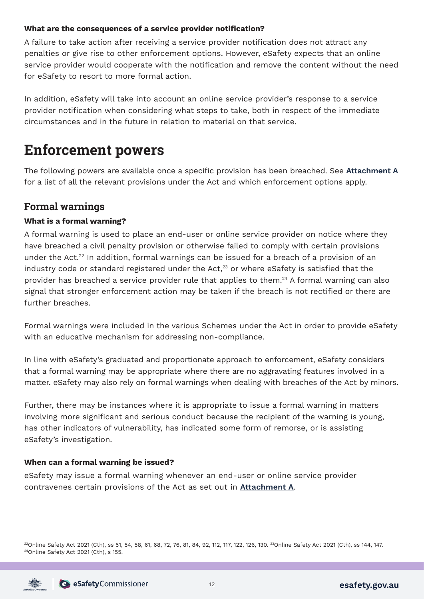#### **What are the consequences of a service provider notification?**

A failure to take action after receiving a service provider notification does not attract any penalties or give rise to other enforcement options. However, eSafety expects that an online service provider would cooperate with the notification and remove the content without the need for eSafety to resort to more formal action.

In addition, eSafety will take into account an online service provider's response to a service provider notification when considering what steps to take, both in respect of the immediate circumstances and in the future in relation to material on that service.

## **Enforcement powers**

The following powers are available once a specific provision has been breached. See **[Attachment A](#page-23-0)** for a list of all the relevant provisions under the Act and which enforcement options apply.

## **Formal warnings**

#### **What is a formal warning?**

A formal warning is used to place an end-user or online service provider on notice where they have breached a civil penalty provision or otherwise failed to comply with certain provisions under the Act.<sup>22</sup> In addition, formal warnings can be issued for a breach of a provision of an industry code or standard registered under the Act, $23$  or where eSafety is satisfied that the provider has breached a service provider rule that applies to them.<sup>24</sup> A formal warning can also signal that stronger enforcement action may be taken if the breach is not rectified or there are further breaches.

Formal warnings were included in the various Schemes under the Act in order to provide eSafety with an educative mechanism for addressing non-compliance.

In line with eSafety's graduated and proportionate approach to enforcement, eSafety considers that a formal warning may be appropriate where there are no aggravating features involved in a matter. eSafety may also rely on formal warnings when dealing with breaches of the Act by minors.

Further, there may be instances where it is appropriate to issue a formal warning in matters involving more significant and serious conduct because the recipient of the warning is young, has other indicators of vulnerability, has indicated some form of remorse, or is assisting eSafety's investigation.

#### **When can a formal warning be issued?**

eSafety may issue a formal warning whenever an end-user or online service provider contravenes certain provisions of the Act as set out in **[Attachment A](#page-23-0)**.

<sup>22</sup>Online Safety Act 2021 (Cth), ss 51, 54, 58, 61, 68, 72, 76, 81, 84, 92, 112, 117, 122, 126, 130. <sup>23</sup>Online Safety Act 2021 (Cth), ss 144, 147.<br><sup>24</sup>Online Safety Act 2021 (Cth), s 155.

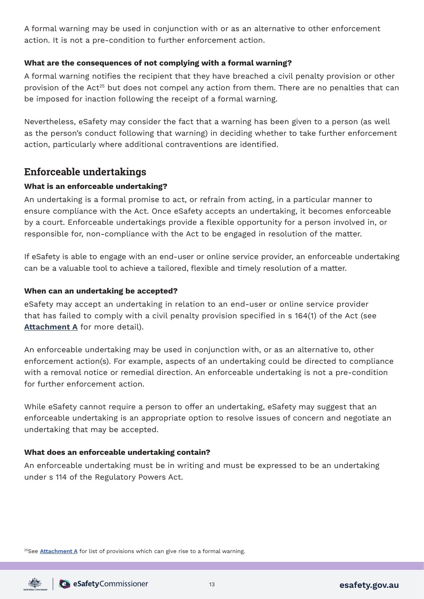A formal warning may be used in conjunction with or as an alternative to other enforcement action. It is not a pre-condition to further enforcement action.

#### **What are the consequences of not complying with a formal warning?**

A formal warning notifies the recipient that they have breached a civil penalty provision or other provision of the Act<sup>25</sup> but does not compel any action from them. There are no penalties that can be imposed for inaction following the receipt of a formal warning.

Nevertheless, eSafety may consider the fact that a warning has been given to a person (as well as the person's conduct following that warning) in deciding whether to take further enforcement action, particularly where additional contraventions are identified.

### **Enforceable undertakings**

#### **What is an enforceable undertaking?**

An undertaking is a formal promise to act, or refrain from acting, in a particular manner to ensure compliance with the Act. Once eSafety accepts an undertaking, it becomes enforceable by a court. Enforceable undertakings provide a flexible opportunity for a person involved in, or responsible for, non-compliance with the Act to be engaged in resolution of the matter.

If eSafety is able to engage with an end-user or online service provider, an enforceable undertaking can be a valuable tool to achieve a tailored, flexible and timely resolution of a matter.

#### **When can an undertaking be accepted?**

eSafety may accept an undertaking in relation to an end-user or online service provider that has failed to comply with a civil penalty provision specified in s 164(1) of the Act (see **[Attachment A](#page-23-0)** for more detail).

An enforceable undertaking may be used in conjunction with, or as an alternative to, other enforcement action(s). For example, aspects of an undertaking could be directed to compliance with a removal notice or remedial direction. An enforceable undertaking is not a pre-condition for further enforcement action.

While eSafety cannot require a person to offer an undertaking, eSafety may suggest that an enforceable undertaking is an appropriate option to resolve issues of concern and negotiate an undertaking that may be accepted.

#### **What does an enforceable undertaking contain?**

An enforceable undertaking must be in writing and must be expressed to be an undertaking under s 114 of the Regulatory Powers Act.

25See **[Attachment A](#page-23-0)** for list of provisions which can give rise to a formal warning.

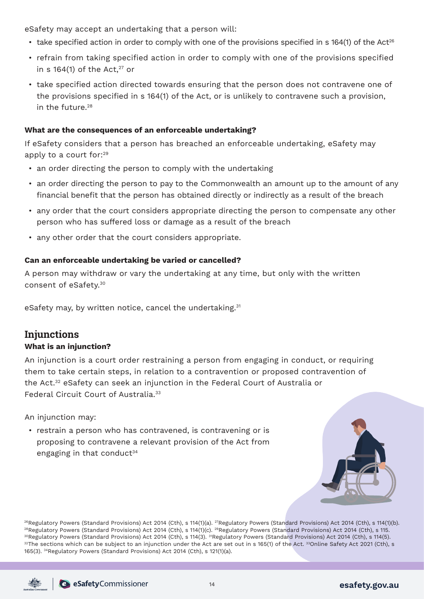eSafety may accept an undertaking that a person will:

- $\cdot$  take specified action in order to comply with one of the provisions specified in s 164(1) of the Act<sup>26</sup>
- refrain from taking specified action in order to comply with one of the provisions specified in s 164(1) of the Act, $27$  or
- take specified action directed towards ensuring that the person does not contravene one of the provisions specified in s 164(1) of the Act, or is unlikely to contravene such a provision,  $\frac{1}{28}$  the future  $28$

#### **What are the consequences of an enforceable undertaking?**

If eSafety considers that a person has breached an enforceable undertaking, eSafety may apply to a court for:29

- an order directing the person to comply with the undertaking
- an order directing the person to pay to the Commonwealth an amount up to the amount of any financial benefit that the person has obtained directly or indirectly as a result of the breach
- any order that the court considers appropriate directing the person to compensate any other person who has suffered loss or damage as a result of the breach
- any other order that the court considers appropriate.

#### **Can an enforceable undertaking be varied or cancelled?**

A person may withdraw or vary the undertaking at any time, but only with the written consent of eSafety.30

eSafety may, by written notice, cancel the undertaking.<sup>31</sup>

## **Injunctions**

#### **What is an injunction?**

An injunction is a court order restraining a person from engaging in conduct, or requiring them to take certain steps, in relation to a contravention or proposed contravention of the Act.32 eSafety can seek an injunction in the Federal Court of Australia or Federal Circuit Court of Australia.33

An injunction may:

• restrain a person who has contravened, is contravening or is proposing to contravene a relevant provision of the Act from engaging in that conduct $34$ 



<sup>26</sup>Regulatory Powers (Standard Provisions) Act 2014 (Cth), s 114(1)(a). <sup>27</sup>Regulatory Powers (Standard Provisions) Act 2014 (Cth), s 114(1)(b).<br><sup>28</sup>Regulatory Powers (Standard Provisions) Act 2014 (Cth), s 114(1)(c). <sup>2</sup> 165(3). 34Regulatory Powers (Standard Provisions) Act 2014 (Cth), s 121(1)(a).

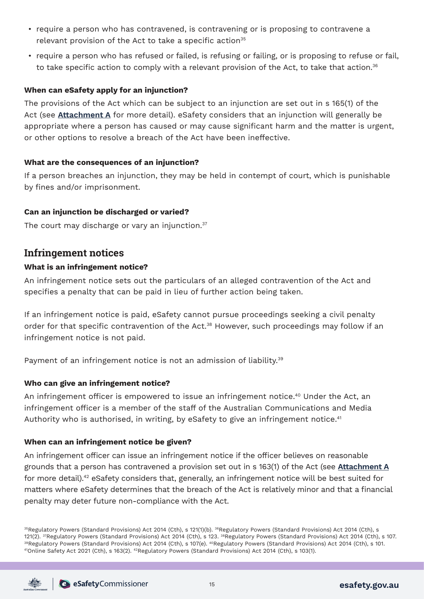- require a person who has contravened, is contravening or is proposing to contravene a relevant provision of the Act to take a specific action<sup>35</sup>
- require a person who has refused or failed, is refusing or failing, or is proposing to refuse or fail, to take specific action to comply with a relevant provision of the Act, to take that action.<sup>36</sup>

#### **When can eSafety apply for an injunction?**

The provisions of the Act which can be subject to an injunction are set out in s 165(1) of the Act (see **[Attachment A](#page-23-0)** for more detail). eSafety considers that an injunction will generally be appropriate where a person has caused or may cause significant harm and the matter is urgent, or other options to resolve a breach of the Act have been ineffective.

#### **What are the consequences of an injunction?**

If a person breaches an injunction, they may be held in contempt of court, which is punishable by fines and/or imprisonment.

#### **Can an injunction be discharged or varied?**

The court may discharge or vary an injunction. $37$ 

#### **Infringement notices**

#### **What is an infringement notice?**

An infringement notice sets out the particulars of an alleged contravention of the Act and specifies a penalty that can be paid in lieu of further action being taken.

If an infringement notice is paid, eSafety cannot pursue proceedings seeking a civil penalty order for that specific contravention of the Act.<sup>38</sup> However, such proceedings may follow if an infringement notice is not paid.

Payment of an infringement notice is not an admission of liability.<sup>39</sup>

#### **Who can give an infringement notice?**

An infringement officer is empowered to issue an infringement notice.<sup>40</sup> Under the Act, an infringement officer is a member of the staff of the Australian Communications and Media Authority who is authorised, in writing, by eSafety to give an infringement notice.<sup>41</sup>

#### **When can an infringement notice be given?**

An infringement officer can issue an infringement notice if the officer believes on reasonable grounds that a person has contravened a provision set out in s 163(1) of the Act (see **[Attachment A](#page-23-0)** for more detail).<sup>42</sup> eSafety considers that, generally, an infringement notice will be best suited for matters where eSafety determines that the breach of the Act is relatively minor and that a financial penalty may deter future non-compliance with the Act.

35Regulatory Powers (Standard Provisions) Act 2014 (Cth), s 121(1)(b). 36Regulatory Powers (Standard Provisions) Act 2014 (Cth), s 121(2). <sup>37</sup>Regulatory Powers (Standard Provisions) Act 2014 (Cth), s 123. <sup>38</sup>Regulatory Powers (Standard Provisions) Act 2014 (Cth), s 107.<br><sup>39</sup>Regulatory Powers (Standard Provisions) Act 2014 (Cth), s 107(e). <sup>40</sup>Regula

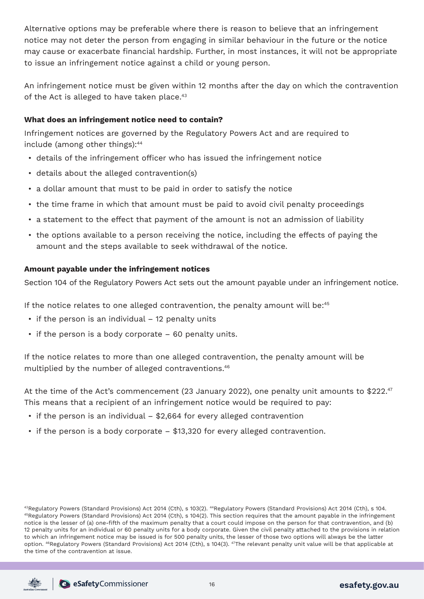Alternative options may be preferable where there is reason to believe that an infringement notice may not deter the person from engaging in similar behaviour in the future or the notice may cause or exacerbate financial hardship. Further, in most instances, it will not be appropriate to issue an infringement notice against a child or young person.

An infringement notice must be given within 12 months after the day on which the contravention of the Act is alleged to have taken place.<sup>43</sup>

#### **What does an infringement notice need to contain?**

Infringement notices are governed by the Regulatory Powers Act and are required to include (among other things):44

- details of the infringement officer who has issued the infringement notice
- details about the alleged contravention(s)
- a dollar amount that must to be paid in order to satisfy the notice
- the time frame in which that amount must be paid to avoid civil penalty proceedings
- a statement to the effect that payment of the amount is not an admission of liability
- the options available to a person receiving the notice, including the effects of paying the amount and the steps available to seek withdrawal of the notice.

#### **Amount payable under the infringement notices**

Section 104 of the Regulatory Powers Act sets out the amount payable under an infringement notice.

If the notice relates to one alleged contravention, the penalty amount will be:45

- if the person is an individual 12 penalty units
- if the person is a body corporate 60 penalty units.

If the notice relates to more than one alleged contravention, the penalty amount will be multiplied by the number of alleged contraventions.46

At the time of the Act's commencement (23 January 2022), one penalty unit amounts to \$222.<sup>47</sup> This means that a recipient of an infringement notice would be required to pay:

- if the person is an individual \$2,664 for every alleged contravention
- if the person is a body corporate \$13,320 for every alleged contravention.

 $^{43}$ Regulatory Powers (Standard Provisions) Act 2014 (Cth), s 103(2).  $^{44}$ Regulatory Powers (Standard Provisions) Act 2014 (Cth), s 104.<br> $^{45}$ Regulatory Powers (Standard Provisions) Act 2014 (Cth), s 104(2). This sec notice is the lesser of (a) one-fifth of the maximum penalty that a court could impose on the person for that contravention, and (b) 12 penalty units for an individual or 60 penalty units for a body corporate. Given the civil penalty attached to the provisions in relation to which an infringement notice may be issued is for 500 penalty units, the lesser of those two options will always be the latter option. <sup>46</sup>Regulatory Powers (Standard Provisions) Act 2014 (Cth), s 104(3). <sup>47</sup>The relevant penalty unit value will be that applicable at the time of the contravention at issue.



SafetyCommissioner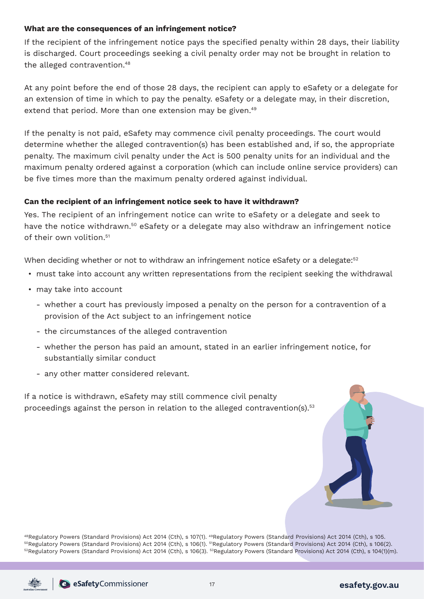#### **What are the consequences of an infringement notice?**

If the recipient of the infringement notice pays the specified penalty within 28 days, their liability is discharged. Court proceedings seeking a civil penalty order may not be brought in relation to the alleged contravention.<sup>48</sup>

At any point before the end of those 28 days, the recipient can apply to eSafety or a delegate for an extension of time in which to pay the penalty. eSafety or a delegate may, in their discretion, extend that period. More than one extension may be given.<sup>49</sup>

If the penalty is not paid, eSafety may commence civil penalty proceedings. The court would determine whether the alleged contravention(s) has been established and, if so, the appropriate penalty. The maximum civil penalty under the Act is 500 penalty units for an individual and the maximum penalty ordered against a corporation (which can include online service providers) can be five times more than the maximum penalty ordered against individual.

#### **Can the recipient of an infringement notice seek to have it withdrawn?**

Yes. The recipient of an infringement notice can write to eSafety or a delegate and seek to have the notice withdrawn.<sup>50</sup> eSafety or a delegate may also withdraw an infringement notice of their own volition.<sup>51</sup>

When deciding whether or not to withdraw an infringement notice eSafety or a delegate:<sup>52</sup>

- must take into account any written representations from the recipient seeking the withdrawal
- may take into account
	- whether a court has previously imposed a penalty on the person for a contravention of a provision of the Act subject to an infringement notice
	- the circumstances of the alleged contravention
	- whether the person has paid an amount, stated in an earlier infringement notice, for substantially similar conduct
	- any other matter considered relevant.

If a notice is withdrawn, eSafety may still commence civil penalty proceedings against the person in relation to the alleged contravention(s).<sup>53</sup>



<sup>48</sup>Regulatory Powers (Standard Provisions) Act 2014 (Cth), s 107(1). <sup>49</sup>Regulatory Powers (Standard Provisions) Act 2014 (Cth), s 105.<br><sup>50</sup>Regulatory Powers (Standard Provisions) Act 2014 (Cth), s 106(1). <sup>51</sup>Regulatory 52Regulatory Powers (Standard Provisions) Act 2014 (Cth), s 106(3). 53Regulatory Powers (Standard Provisions) Act 2014 (Cth), s 104(1)(m).

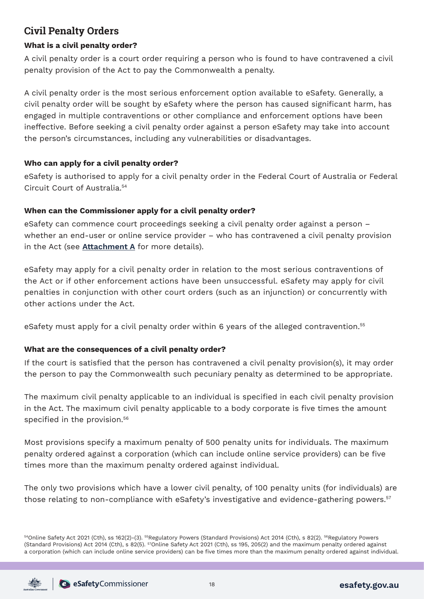## **Civil Penalty Orders**

### **What is a civil penalty order?**

A civil penalty order is a court order requiring a person who is found to have contravened a civil penalty provision of the Act to pay the Commonwealth a penalty.

A civil penalty order is the most serious enforcement option available to eSafety. Generally, a civil penalty order will be sought by eSafety where the person has caused significant harm, has engaged in multiple contraventions or other compliance and enforcement options have been ineffective. Before seeking a civil penalty order against a person eSafety may take into account the person's circumstances, including any vulnerabilities or disadvantages.

### **Who can apply for a civil penalty order?**

eSafety is authorised to apply for a civil penalty order in the Federal Court of Australia or Federal Circuit Court of Australia.54

### **When can the Commissioner apply for a civil penalty order?**

eSafety can commence court proceedings seeking a civil penalty order against a person – whether an end-user or online service provider – who has contravened a civil penalty provision in the Act (see **[Attachment A](#page-23-0)** for more details).

eSafety may apply for a civil penalty order in relation to the most serious contraventions of the Act or if other enforcement actions have been unsuccessful. eSafety may apply for civil penalties in conjunction with other court orders (such as an injunction) or concurrently with other actions under the Act.

eSafety must apply for a civil penalty order within 6 years of the alleged contravention.55

### **What are the consequences of a civil penalty order?**

If the court is satisfied that the person has contravened a civil penalty provision(s), it may order the person to pay the Commonwealth such pecuniary penalty as determined to be appropriate.

The maximum civil penalty applicable to an individual is specified in each civil penalty provision in the Act. The maximum civil penalty applicable to a body corporate is five times the amount specified in the provision.<sup>56</sup>

Most provisions specify a maximum penalty of 500 penalty units for individuals. The maximum penalty ordered against a corporation (which can include online service providers) can be five times more than the maximum penalty ordered against individual.

The only two provisions which have a lower civil penalty, of 100 penalty units (for individuals) are those relating to non-compliance with eSafety's investigative and evidence-gathering powers.<sup>57</sup>

54Online Safety Act 2021 (Cth), ss 162(2)-(3). <sup>55</sup>Regulatory Powers (Standard Provisions) Act 2014 (Cth), s 82(2). <sup>56</sup>Regulatory Powers (Standard Provisions) Act 2014 (Cth), s 82(5). 57Online Safety Act 2021 (Cth), ss 195, 205(2) and the maximum penalty ordered against a corporation (which can include online service providers) can be five times more than the maximum penalty ordered against individual.

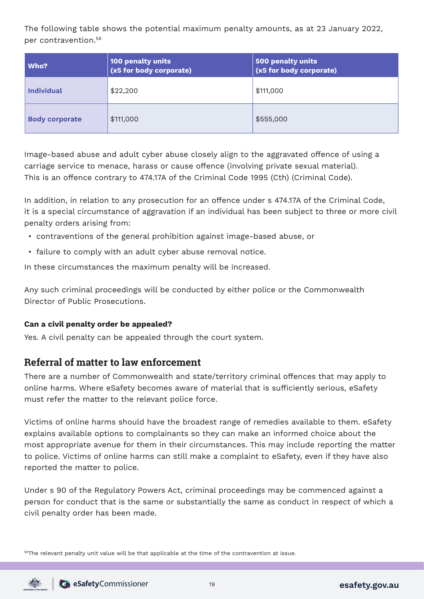The following table shows the potential maximum penalty amounts, as at 23 January 2022, per contravention.58

| Who?                  | 100 penalty units<br>(x5 for body corporate) | 500 penalty units<br>(x5 for body corporate) |
|-----------------------|----------------------------------------------|----------------------------------------------|
| <b>Individual</b>     | \$22,200                                     | \$111,000                                    |
| <b>Body corporate</b> | \$111,000                                    | \$555,000                                    |

Image-based abuse and adult cyber abuse closely align to the aggravated offence of using a carriage service to menace, harass or cause offence (involving private sexual material). This is an offence contrary to 474.17A of the Criminal Code 1995 (Cth) (Criminal Code).

In addition, in relation to any prosecution for an offence under s 474.17A of the Criminal Code, it is a special circumstance of aggravation if an individual has been subject to three or more civil penalty orders arising from:

- contraventions of the general prohibition against image-based abuse, or
- failure to comply with an adult cyber abuse removal notice.

In these circumstances the maximum penalty will be increased.

Any such criminal proceedings will be conducted by either police or the Commonwealth Director of Public Prosecutions.

#### **Can a civil penalty order be appealed?**

Yes. A civil penalty can be appealed through the court system.

### **Referral of matter to law enforcement**

There are a number of Commonwealth and state/territory criminal offences that may apply to online harms. Where eSafety becomes aware of material that is sufficiently serious, eSafety must refer the matter to the relevant police force.

Victims of online harms should have the broadest range of remedies available to them. eSafety explains available options to complainants so they can make an informed choice about the most appropriate avenue for them in their circumstances. This may include reporting the matter to police. Victims of online harms can still make a complaint to eSafety, even if they have also reported the matter to police.

Under s 90 of the Regulatory Powers Act, criminal proceedings may be commenced against a person for conduct that is the same or substantially the same as conduct in respect of which a civil penalty order has been made.

<sup>58</sup>The relevant penalty unit value will be that applicable at the time of the contravention at issue.

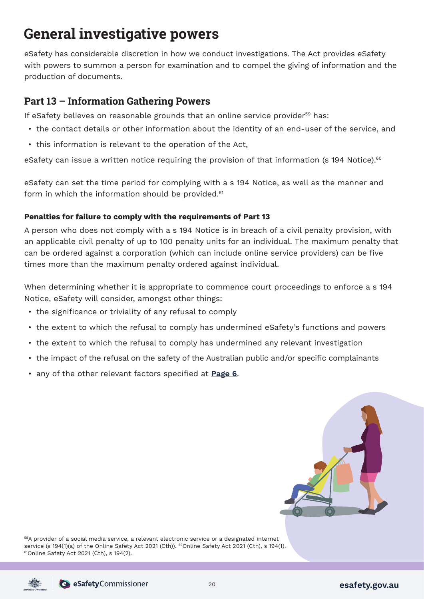## **General investigative powers**

eSafety has considerable discretion in how we conduct investigations. The Act provides eSafety with powers to summon a person for examination and to compel the giving of information and the production of documents.

## **Part 13 – Information Gathering Powers**

If eSafety believes on reasonable grounds that an online service provider<sup>59</sup> has:

- the contact details or other information about the identity of an end-user of the service, and
- this information is relevant to the operation of the Act,

eSafety can issue a written notice requiring the provision of that information (s 194 Notice).<sup>60</sup>

eSafety can set the time period for complying with a s 194 Notice, as well as the manner and form in which the information should be provided. $61$ 

#### **Penalties for failure to comply with the requirements of Part 13**

A person who does not comply with a s 194 Notice is in breach of a civil penalty provision, with an applicable civil penalty of up to 100 penalty units for an individual. The maximum penalty that can be ordered against a corporation (which can include online service providers) can be five times more than the maximum penalty ordered against individual.

When determining whether it is appropriate to commence court proceedings to enforce a s 194 Notice, eSafety will consider, amongst other things:

- the significance or triviality of any refusal to comply
- the extent to which the refusal to comply has undermined eSafety's functions and powers
- the extent to which the refusal to comply has undermined any relevant investigation
- the impact of the refusal on the safety of the Australian public and/or specific complainants
- any of the other relevant factors specified at **[Page 6](#page-6-0)**.



59A provider of a social media service, a relevant electronic service or a designated internet service (s 194(1)(a) of the Online Safety Act 2021 (Cth)). <sup>60</sup>Online Safety Act 2021 (Cth), s 194(1). <sup>61</sup>Online Safety Act 2021 (Cth), s 194(1).

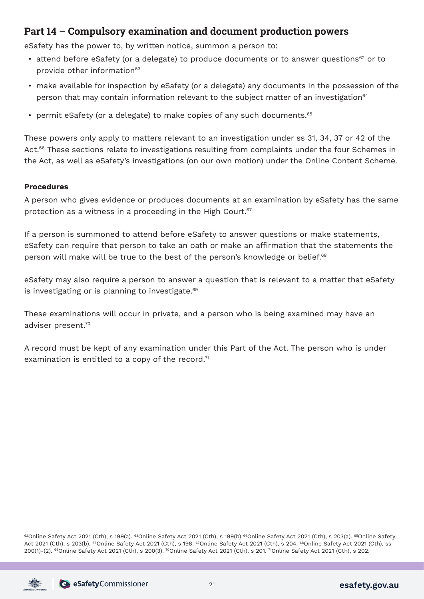## **Part 14 – Compulsory examination and document production powers**

eSafety has the power to, by written notice, summon a person to:

- attend before eSafety (or a delegate) to produce documents or to answer questions $62$  or to provide other information<sup>63</sup>
- make available for inspection by eSafety (or a delegate) any documents in the possession of the person that may contain information relevant to the subject matter of an investigation<sup>64</sup>
- permit eSafety (or a delegate) to make copies of any such documents.<sup>65</sup>

These powers only apply to matters relevant to an investigation under ss 31, 34, 37 or 42 of the Act.<sup>66</sup> These sections relate to investigations resulting from complaints under the four Schemes in the Act, as well as eSafety's investigations (on our own motion) under the Online Content Scheme.

#### **Procedures**

A person who gives evidence or produces documents at an examination by eSafety has the same protection as a witness in a proceeding in the High Court.<sup>67</sup>

If a person is summoned to attend before eSafety to answer questions or make statements, eSafety can require that person to take an oath or make an affirmation that the statements the person will make will be true to the best of the person's knowledge or belief.<sup>68</sup>

eSafety may also require a person to answer a question that is relevant to a matter that eSafety is investigating or is planning to investigate.<sup>69</sup>

These examinations will occur in private, and a person who is being examined may have an adviser present.70

A record must be kept of any examination under this Part of the Act. The person who is under examination is entitled to a copy of the record. $71$ 

62Online Safety Act 2021 (Cth), s 199(a). 63Online Safety Act 2021 (Cth), s 199(b) 64Online Safety Act 2021 (Cth), s 203(a). 65Online Safety Act 2021 (Cth), s 203(b). <sup>66</sup>Online Safety Act 2021 (Cth), s 198. <sup>67</sup>Online Safety Act 2021 (Cth), s 204. <sup>68</sup>Online Safety Act 2021 (Cth), ss 200(1)-(2). 69Online Safety Act 2021 (Cth), s 200(3). 70Online Safety Act 2021 (Cth), s 201. 71Online Safety Act 2021 (Cth), s 202.

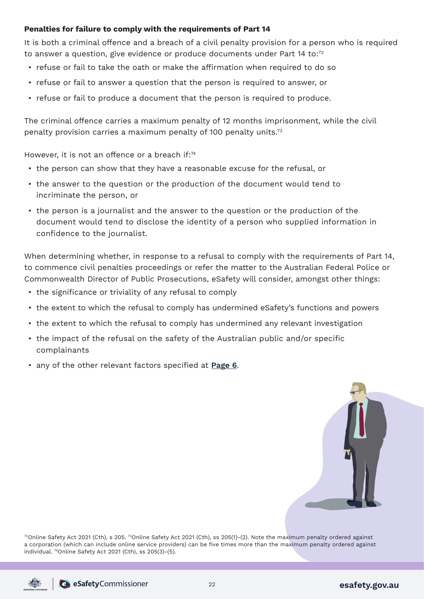#### **Penalties for failure to comply with the requirements of Part 14**

It is both a criminal offence and a breach of a civil penalty provision for a person who is required to answer a question, give evidence or produce documents under Part 14 to:<sup>72</sup>

- refuse or fail to take the oath or make the affirmation when required to do so
- refuse or fail to answer a question that the person is required to answer, or
- refuse or fail to produce a document that the person is required to produce.

The criminal offence carries a maximum penalty of 12 months imprisonment, while the civil penalty provision carries a maximum penalty of 100 penalty units.73

However, it is not an offence or a breach if:<sup>74</sup>

- the person can show that they have a reasonable excuse for the refusal, or
- the answer to the question or the production of the document would tend to incriminate the person, or
- the person is a journalist and the answer to the question or the production of the document would tend to disclose the identity of a person who supplied information in confidence to the journalist.

When determining whether, in response to a refusal to comply with the requirements of Part 14, to commence civil penalties proceedings or refer the matter to the Australian Federal Police or Commonwealth Director of Public Prosecutions, eSafety will consider, amongst other things:

- the significance or triviality of any refusal to comply
- the extent to which the refusal to comply has undermined eSafety's functions and powers
- the extent to which the refusal to comply has undermined any relevant investigation
- the impact of the refusal on the safety of the Australian public and/or specific complainants
- any of the other relevant factors specified at **[Page 6](#page-6-0)**.



 $72$ Online Safety Act 2021 (Cth), s 205.  $73$ Online Safety Act 2021 (Cth), ss 205(1)-(2). Note the maximum penalty ordered against a corporation (which can include online service providers) can be five times more than the maximum penalty ordered against individual. 74Online Safety Act 2021 (Cth), ss 205(3)-(5).

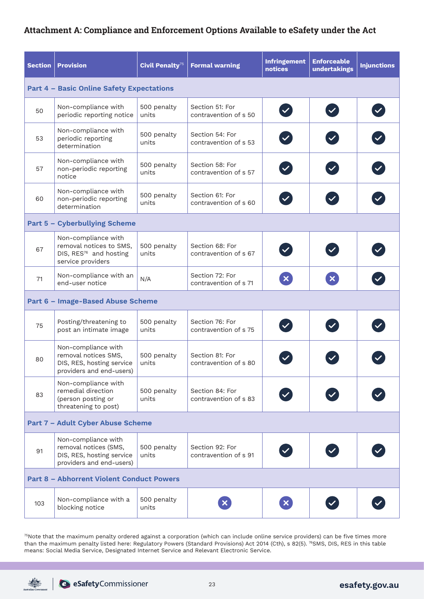### <span id="page-23-0"></span>**Attachment A: Compliance and Enforcement Options Available to eSafety under the Act**

| <b>Section</b>                                   | <b>Provision</b>                                                                                          | Civil Penalty <sup>75</sup> | <b>Formal warning</b>                    | <b>Infringement</b><br><b>notices</b> | <b>Enforceable</b><br>undertakings | <b>Injunctions</b> |
|--------------------------------------------------|-----------------------------------------------------------------------------------------------------------|-----------------------------|------------------------------------------|---------------------------------------|------------------------------------|--------------------|
| <b>Part 4 - Basic Online Safety Expectations</b> |                                                                                                           |                             |                                          |                                       |                                    |                    |
| 50                                               | Non-compliance with<br>periodic reporting notice                                                          | 500 penalty<br>units        | Section 51: For<br>contravention of s 50 | $\blacktriangledown$                  | $\left  \mathbf{v} \right $        |                    |
| 53                                               | Non-compliance with<br>periodic reporting<br>determination                                                | 500 penalty<br>units        | Section 54: For<br>contravention of s 53 |                                       |                                    |                    |
| 57                                               | Non-compliance with<br>non-periodic reporting<br>notice                                                   | 500 penalty<br>units        | Section 58: For<br>contravention of s 57 |                                       |                                    |                    |
| 60                                               | Non-compliance with<br>non-periodic reporting<br>determination                                            | 500 penalty<br>units        | Section 61: For<br>contravention of s 60 | $\blacktriangledown$                  |                                    |                    |
|                                                  | Part 5 - Cyberbullying Scheme                                                                             |                             |                                          |                                       |                                    |                    |
| 67                                               | Non-compliance with<br>removal notices to SMS,<br>DIS, RES <sup>76</sup> and hosting<br>service providers | 500 penalty<br>units        | Section 68: For<br>contravention of s 67 | $\checkmark$                          |                                    |                    |
| 71                                               | Non-compliance with an<br>end-user notice                                                                 | N/A                         | Section 72: For<br>contravention of s 71 | $\mathbf{x}$                          | $\boldsymbol{\mathsf{x}}$          |                    |
|                                                  | Part 6 - Image-Based Abuse Scheme                                                                         |                             |                                          |                                       |                                    |                    |
| 75                                               | Posting/threatening to<br>post an intimate image                                                          | 500 penalty<br>units        | Section 76: For<br>contravention of s 75 |                                       |                                    |                    |
| 80                                               | Non-compliance with<br>removal notices SMS,<br>DIS, RES, hosting service<br>providers and end-users)      | 500 penalty<br>units        | Section 81: For<br>contravention of s 80 |                                       |                                    |                    |
| 83                                               | Non-compliance with<br>remedial direction<br>(person posting or<br>threatening to post)                   | 500 penalty<br>units        | Section 84: For<br>contravention of s 83 |                                       |                                    |                    |
| Part 7 - Adult Cyber Abuse Scheme                |                                                                                                           |                             |                                          |                                       |                                    |                    |
| 91                                               | Non-compliance with<br>removal notices (SMS,<br>DIS, RES, hosting service<br>providers and end-users)     | 500 penalty<br>units        | Section 92: For<br>contravention of s 91 |                                       |                                    |                    |
| <b>Part 8 - Abhorrent Violent Conduct Powers</b> |                                                                                                           |                             |                                          |                                       |                                    |                    |
| 103                                              | Non-compliance with a<br>blocking notice                                                                  | 500 penalty<br>units        |                                          | $\boldsymbol{\mathsf{x}}$             |                                    |                    |

<sup>75</sup>Note that the maximum penalty ordered against a corporation (which can include online service providers) can be five times more than the maximum penalty listed here: Regulatory Powers (Standard Provisions) Act 2014 (Cth), s 82(5). <sup>76</sup>SMS, DIS, RES in this table means: Social Media Service, Designated Internet Service and Relevant Electronic Service.

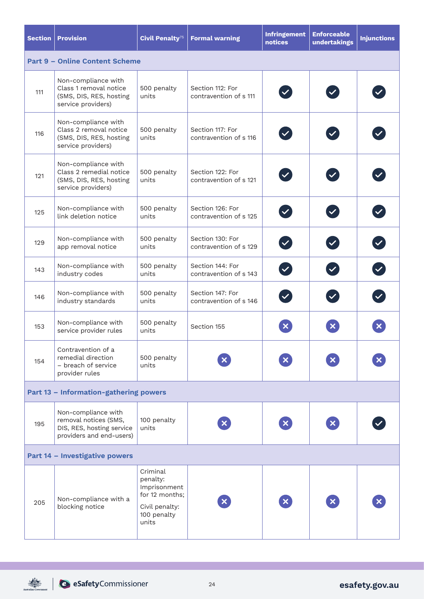| <b>Section</b>                         | <b>Provision</b>                                                                                      | Civil Penalty <sup>75</sup>                                                                      | <b>Formal warning</b>                      | <b>Infringement</b><br>notices | <b>Enforceable</b><br>undertakings | <b>Injunctions</b> |
|----------------------------------------|-------------------------------------------------------------------------------------------------------|--------------------------------------------------------------------------------------------------|--------------------------------------------|--------------------------------|------------------------------------|--------------------|
| <b>Part 9 - Online Content Scheme</b>  |                                                                                                       |                                                                                                  |                                            |                                |                                    |                    |
| 111                                    | Non-compliance with<br>Class 1 removal notice<br>(SMS, DIS, RES, hosting<br>service providers)        | 500 penalty<br>units                                                                             | Section 112: For<br>contravention of s 111 |                                |                                    |                    |
| 116                                    | Non-compliance with<br>Class 2 removal notice<br>(SMS, DIS, RES, hosting<br>service providers)        | 500 penalty<br>units                                                                             | Section 117: For<br>contravention of s 116 |                                |                                    |                    |
| 121                                    | Non-compliance with<br>Class 2 remedial notice<br>(SMS, DIS, RES, hosting<br>service providers)       | 500 penalty<br>units                                                                             | Section 122: For<br>contravention of s 121 |                                |                                    |                    |
| 125                                    | Non-compliance with<br>link deletion notice                                                           | 500 penalty<br>units                                                                             | Section 126: For<br>contravention of s 125 |                                |                                    |                    |
| 129                                    | Non-compliance with<br>app removal notice                                                             | 500 penalty<br>units                                                                             | Section 130: For<br>contravention of s 129 | $\blacktriangledown$           |                                    |                    |
| 143                                    | Non-compliance with<br>industry codes                                                                 | 500 penalty<br>units                                                                             | Section 144: For<br>contravention of s 143 |                                |                                    |                    |
| 146                                    | Non-compliance with<br>industry standards                                                             | 500 penalty<br>units                                                                             | Section 147: For<br>contravention of s 146 |                                |                                    |                    |
| 153                                    | Non-compliance with<br>service provider rules                                                         | 500 penalty<br>units                                                                             | Section 155                                | $\boldsymbol{\mathsf{x}}$      |                                    |                    |
| 154                                    | Contravention of a<br>remedial direction<br>- breach of service<br>provider rules                     | 500 penalty<br>units                                                                             |                                            | $\boldsymbol{\mathsf{x}}$      |                                    |                    |
| Part 13 - Information-gathering powers |                                                                                                       |                                                                                                  |                                            |                                |                                    |                    |
| 195                                    | Non-compliance with<br>removal notices (SMS,<br>DIS, RES, hosting service<br>providers and end-users) | 100 penalty<br>units                                                                             |                                            | $\mathbf{x}$                   |                                    |                    |
| Part 14 - Investigative powers         |                                                                                                       |                                                                                                  |                                            |                                |                                    |                    |
| 205                                    | Non-compliance with a<br>blocking notice                                                              | Criminal<br>penalty:<br>Imprisonment<br>for 12 months:<br>Civil penalty:<br>100 penalty<br>units |                                            | $\boldsymbol{\times}$          |                                    |                    |